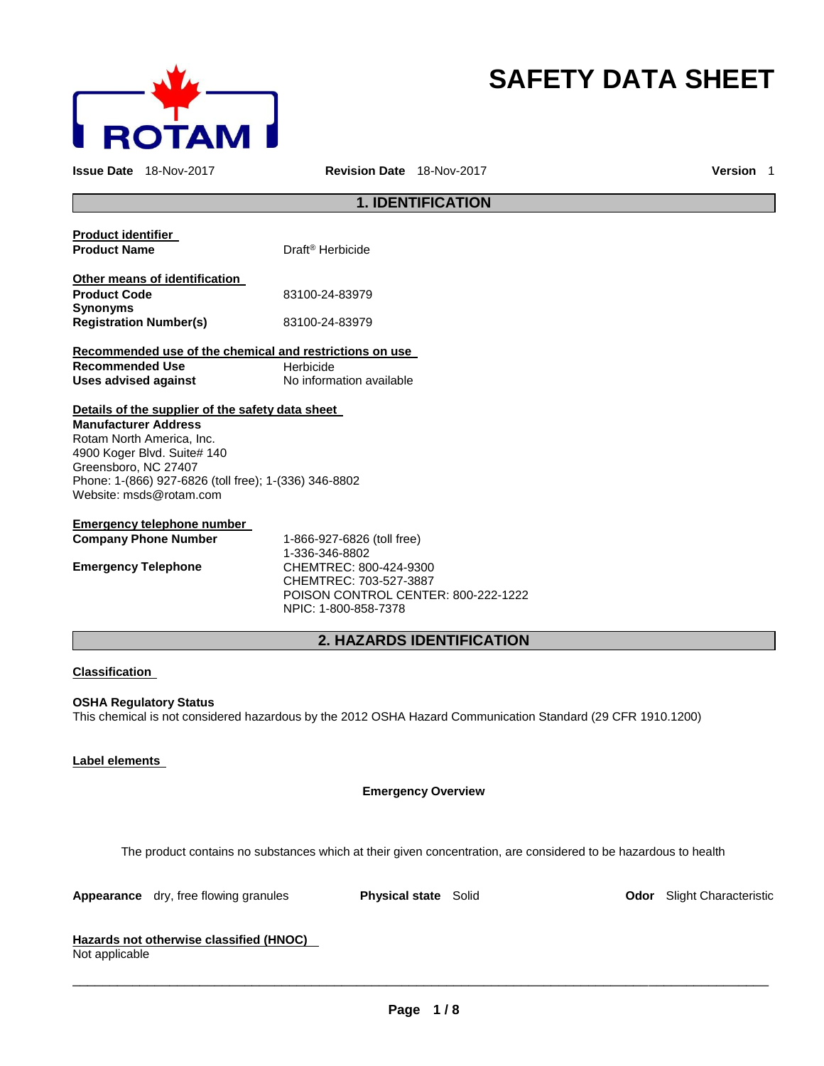

# **SAFETY DATA SHEET**

**Issue Date** 18-Nov-2017 **Revision Date** 18-Nov-2017 **Version** 1

# **1. IDENTIFICATION**

| Product identifier                                      |                                     |
|---------------------------------------------------------|-------------------------------------|
| <b>Product Name</b>                                     | Draft <sup>®</sup> Herbicide        |
| Other means of identification                           |                                     |
| <b>Product Code</b>                                     | 83100-24-83979                      |
| Synonyms                                                |                                     |
| <b>Registration Number(s)</b>                           | 83100-24-83979                      |
| Recommended use of the chemical and restrictions on use |                                     |
| <b>Recommended Use</b>                                  | Herbicide                           |
| <b>Uses advised against</b>                             | No information available            |
| Details of the supplier of the safety data sheet        |                                     |
| <b>Manufacturer Address</b>                             |                                     |
| Rotam North America, Inc.                               |                                     |
| 4900 Koger Blvd. Suite# 140                             |                                     |
| Greensboro, NC 27407                                    |                                     |
| Phone: 1-(866) 927-6826 (toll free); 1-(336) 346-8802   |                                     |
| Website: msds@rotam.com                                 |                                     |
| <u>Emergency telephone number</u>                       |                                     |
| <b>Company Phone Number</b>                             | 1-866-927-6826 (toll free)          |
|                                                         | 1-336-346-8802                      |
| <b>Emergency Telephone</b>                              | CHEMTREC: 800-424-9300              |
|                                                         | CHEMTREC: 703-527-3887              |
|                                                         | POISON CONTROL CENTER: 800-222-1222 |
|                                                         | NPIC: 1-800-858-7378                |
|                                                         | <b>2. HAZARDS IDENTIFICATION</b>    |
|                                                         |                                     |

## **Classification**

# **OSHA Regulatory Status**

This chemical is not considered hazardous by the 2012 OSHA Hazard Communication Standard (29 CFR 1910.1200)

### **Label elements**

### **Emergency Overview**

The product contains no substances which at their given concentration, are considered to be hazardous to health

|  | Appearance | dry, free flowing granules |
|--|------------|----------------------------|
|--|------------|----------------------------|

**Physical state** Solid **Dodor** Slight Characteristic

# **Hazards not otherwise classified (HNOC)**

Not applicable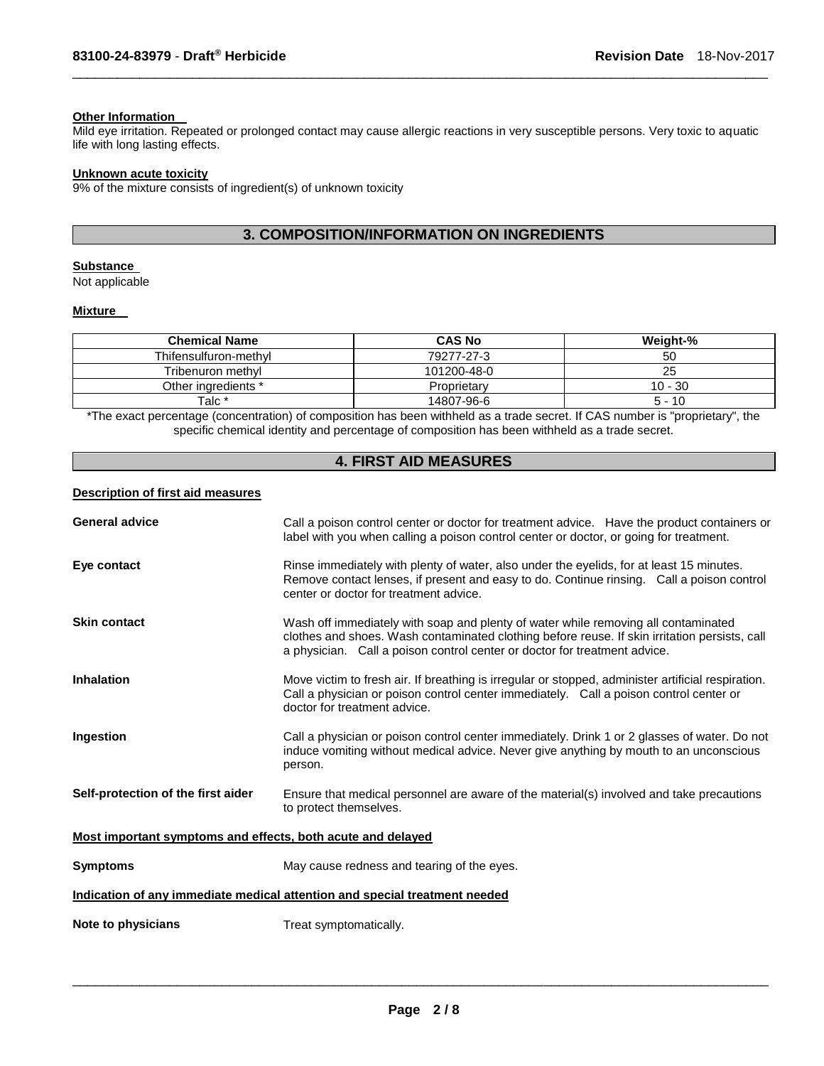### **Other Information**

Mild eye irritation. Repeated or prolonged contact may cause allergic reactions in very susceptible persons. Very toxic to aquatic life with long lasting effects.

\_\_\_\_\_\_\_\_\_\_\_\_\_\_\_\_\_\_\_\_\_\_\_\_\_\_\_\_\_\_\_\_\_\_\_\_\_\_\_\_\_\_\_\_\_\_\_\_\_\_\_\_\_\_\_\_\_\_\_\_\_\_\_\_\_\_\_\_\_\_\_\_\_\_\_\_\_\_\_\_\_\_\_\_\_\_\_\_\_\_\_\_\_

### **Unknown acute toxicity**

9% of the mixture consists of ingredient(s) of unknown toxicity

# **3. COMPOSITION/INFORMATION ON INGREDIENTS**

### **Substance**

Not applicable

## **Mixture**

| <b>Chemical Name</b>  | <b>CAS No</b> | Weight-%  |
|-----------------------|---------------|-----------|
| Thifensulfuron-methyl | 79277-27-3    | 50        |
| Tribenuron methyl     | 101200-48-0   | 25        |
| Other ingredients *   | Proprietary   | $10 - 30$ |
| Talc *                | 14807-96-6    | $5 - 10$  |

\*The exact percentage (concentration) of composition has been withheld as a trade secret. If CAS number is "proprietary", the specific chemical identity and percentage of composition has been withheld as a trade secret.

# **4. FIRST AID MEASURES**

#### **Description of first aid measures**

| <b>General advice</b>                                       | Call a poison control center or doctor for treatment advice. Have the product containers or<br>label with you when calling a poison control center or doctor, or going for treatment.                                                                            |  |
|-------------------------------------------------------------|------------------------------------------------------------------------------------------------------------------------------------------------------------------------------------------------------------------------------------------------------------------|--|
| Eye contact                                                 | Rinse immediately with plenty of water, also under the eyelids, for at least 15 minutes.<br>Remove contact lenses, if present and easy to do. Continue rinsing. Call a poison control<br>center or doctor for treatment advice.                                  |  |
| <b>Skin contact</b>                                         | Wash off immediately with soap and plenty of water while removing all contaminated<br>clothes and shoes. Wash contaminated clothing before reuse. If skin irritation persists, call<br>a physician. Call a poison control center or doctor for treatment advice. |  |
| <b>Inhalation</b>                                           | Move victim to fresh air. If breathing is irregular or stopped, administer artificial respiration.<br>Call a physician or poison control center immediately. Call a poison control center or<br>doctor for treatment advice.                                     |  |
| Ingestion                                                   | Call a physician or poison control center immediately. Drink 1 or 2 glasses of water. Do not<br>induce vomiting without medical advice. Never give anything by mouth to an unconscious<br>person.                                                                |  |
| Self-protection of the first aider                          | Ensure that medical personnel are aware of the material(s) involved and take precautions<br>to protect themselves.                                                                                                                                               |  |
| Most important symptoms and effects, both acute and delayed |                                                                                                                                                                                                                                                                  |  |
| <b>Symptoms</b>                                             | May cause redness and tearing of the eyes.                                                                                                                                                                                                                       |  |
|                                                             | Indication of any immediate medical attention and special treatment needed                                                                                                                                                                                       |  |
| Note to physicians                                          | Treat symptomatically.                                                                                                                                                                                                                                           |  |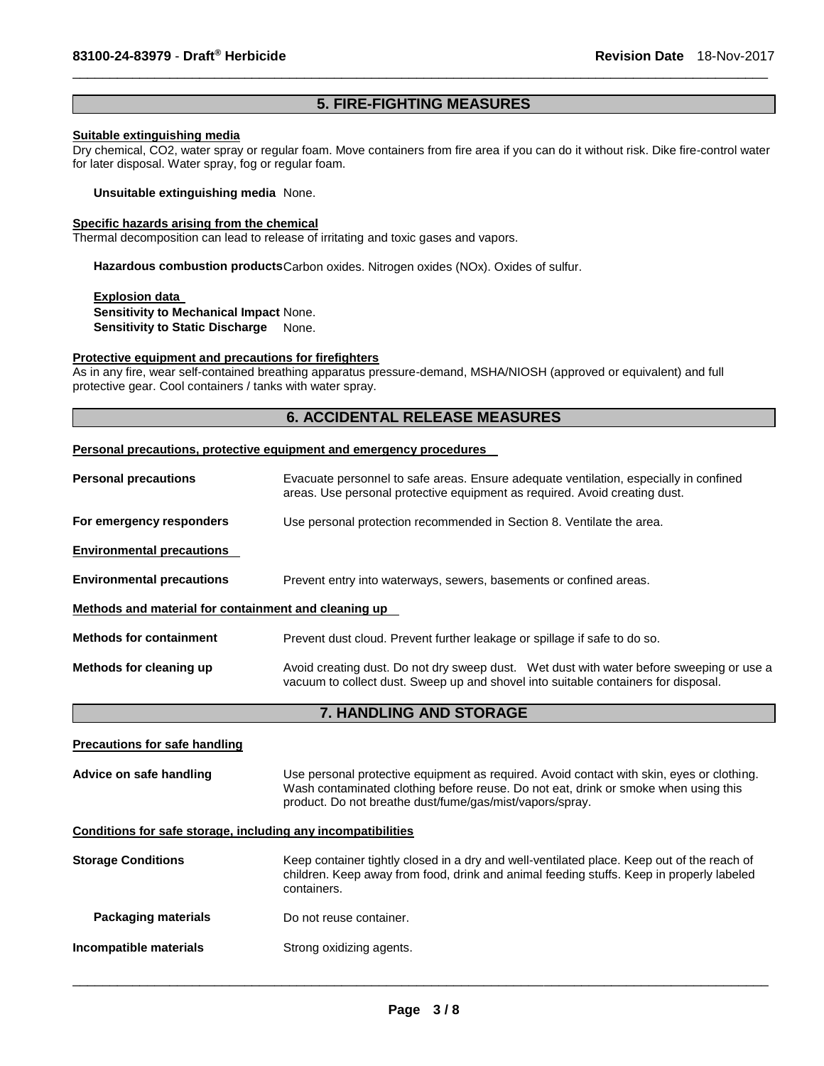# **5. FIRE-FIGHTING MEASURES**

\_\_\_\_\_\_\_\_\_\_\_\_\_\_\_\_\_\_\_\_\_\_\_\_\_\_\_\_\_\_\_\_\_\_\_\_\_\_\_\_\_\_\_\_\_\_\_\_\_\_\_\_\_\_\_\_\_\_\_\_\_\_\_\_\_\_\_\_\_\_\_\_\_\_\_\_\_\_\_\_\_\_\_\_\_\_\_\_\_\_\_\_\_

# **Suitable extinguishing media**

Dry chemical, CO2, water spray or regular foam. Move containers from fire area if you can do it without risk. Dike fire-control water for later disposal. Water spray, fog or regular foam.

**Unsuitable extinguishing media** None.

### **Specific hazards arising from the chemical**

Thermal decomposition can lead to release of irritating and toxic gases and vapors.

**Hazardous combustion products** Carbon oxides. Nitrogen oxides (NOx). Oxides of sulfur.

**Explosion data Sensitivity to Mechanical Impact** None. **Sensitivity to Static Discharge None.** 

### **Protective equipment and precautions for firefighters**

As in any fire, wear self-contained breathing apparatus pressure-demand, MSHA/NIOSH (approved or equivalent) and full protective gear. Cool containers / tanks with water spray.

# **6. ACCIDENTAL RELEASE MEASURES**

### **Personal precautions, protective equipment and emergency procedures**

| <b>Personal precautions</b>                          | Evacuate personnel to safe areas. Ensure adequate ventilation, especially in confined<br>areas. Use personal protective equipment as required. Avoid creating dust.            |  |  |
|------------------------------------------------------|--------------------------------------------------------------------------------------------------------------------------------------------------------------------------------|--|--|
| For emergency responders                             | Use personal protection recommended in Section 8. Ventilate the area.                                                                                                          |  |  |
| <b>Environmental precautions</b>                     |                                                                                                                                                                                |  |  |
| <b>Environmental precautions</b>                     | Prevent entry into waterways, sewers, basements or confined areas.                                                                                                             |  |  |
| Methods and material for containment and cleaning up |                                                                                                                                                                                |  |  |
| <b>Methods for containment</b>                       | Prevent dust cloud. Prevent further leakage or spillage if safe to do so.                                                                                                      |  |  |
| Methods for cleaning up                              | Avoid creating dust. Do not dry sweep dust. Wet dust with water before sweeping or use a<br>vacuum to collect dust. Sweep up and shovel into suitable containers for disposal. |  |  |
|                                                      |                                                                                                                                                                                |  |  |

**7. HANDLING AND STORAGE** 

| <b>Precautions for safe handling</b>                         |                                                                                                                                                                                                                                              |
|--------------------------------------------------------------|----------------------------------------------------------------------------------------------------------------------------------------------------------------------------------------------------------------------------------------------|
| Advice on safe handling                                      | Use personal protective equipment as required. Avoid contact with skin, eyes or clothing.<br>Wash contaminated clothing before reuse. Do not eat, drink or smoke when using this<br>product. Do not breathe dust/fume/gas/mist/vapors/spray. |
| Conditions for safe storage, including any incompatibilities |                                                                                                                                                                                                                                              |
| <b>Storage Conditions</b>                                    | Keep container tightly closed in a dry and well-ventilated place. Keep out of the reach of<br>children. Keep away from food, drink and animal feeding stuffs. Keep in properly labeled<br>containers.                                        |
| <b>Packaging materials</b>                                   | Do not reuse container.                                                                                                                                                                                                                      |
| Incompatible materials                                       | Strong oxidizing agents.                                                                                                                                                                                                                     |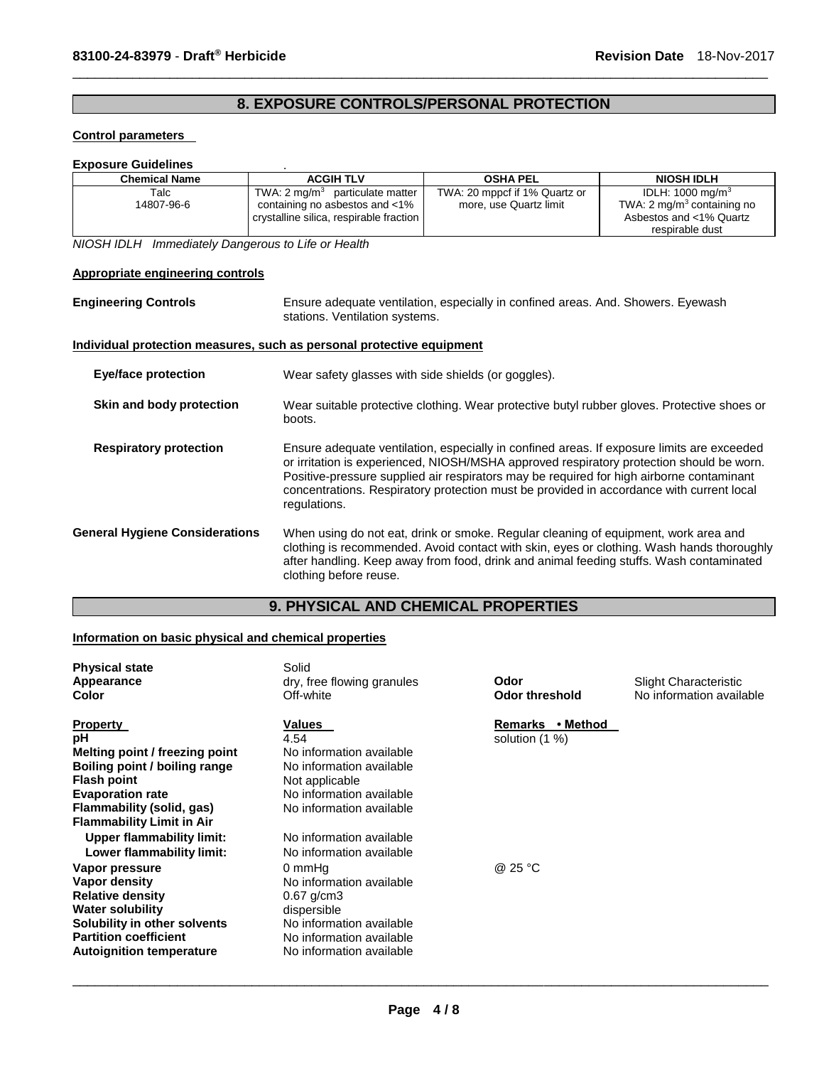# **8. EXPOSURE CONTROLS/PERSONAL PROTECTION**

\_\_\_\_\_\_\_\_\_\_\_\_\_\_\_\_\_\_\_\_\_\_\_\_\_\_\_\_\_\_\_\_\_\_\_\_\_\_\_\_\_\_\_\_\_\_\_\_\_\_\_\_\_\_\_\_\_\_\_\_\_\_\_\_\_\_\_\_\_\_\_\_\_\_\_\_\_\_\_\_\_\_\_\_\_\_\_\_\_\_\_\_\_

### **Control parameters**

| <b>Exposure Guidelines</b> |                                                                                                                         |                                                         |                                                                                                                    |
|----------------------------|-------------------------------------------------------------------------------------------------------------------------|---------------------------------------------------------|--------------------------------------------------------------------------------------------------------------------|
| <b>Chemical Name</b>       | <b>ACGIH TLV</b>                                                                                                        | <b>OSHA PEL</b>                                         | <b>NIOSH IDLH</b>                                                                                                  |
| Talc<br>14807-96-6         | TWA: $2 \text{ mq/m}^3$ particulate matter<br>containing no asbestos and <1%<br>crystalline silica, respirable fraction | TWA: 20 mppcf if 1% Quartz or<br>more, use Quartz limit | IDLH: $1000 \text{ mg/m}^3$<br>TWA: $2 \text{ mg/m}^3$ containing no<br>Asbestos and <1% Quartz<br>respirable dust |

*NIOSH IDLH Immediately Dangerous to Life or Health* 

### **Appropriate engineering controls**

**Engineering Controls** Ensure adequate ventilation, especially in confined areas. And. Showers. Eyewash stations. Ventilation systems.

### **Individual protection measures, such as personal protective equipment**

| Eye/face protection                   | Wear safety glasses with side shields (or goggles).                                                                                                                                                                                                                                                                                                                                            |  |
|---------------------------------------|------------------------------------------------------------------------------------------------------------------------------------------------------------------------------------------------------------------------------------------------------------------------------------------------------------------------------------------------------------------------------------------------|--|
| Skin and body protection              | Wear suitable protective clothing. Wear protective butyl rubber gloves. Protective shoes or<br>boots.                                                                                                                                                                                                                                                                                          |  |
| <b>Respiratory protection</b>         | Ensure adequate ventilation, especially in confined areas. If exposure limits are exceeded<br>or irritation is experienced, NIOSH/MSHA approved respiratory protection should be worn.<br>Positive-pressure supplied air respirators may be required for high airborne contaminant<br>concentrations. Respiratory protection must be provided in accordance with current local<br>regulations. |  |
| <b>General Hygiene Considerations</b> | When using do not eat, drink or smoke. Regular cleaning of equipment, work area and<br>clothing is recommended. Avoid contact with skin, eyes or clothing. Wash hands thoroughly<br>after handling. Keep away from food, drink and animal feeding stuffs. Wash contaminated<br>clothing before reuse.                                                                                          |  |

# **9. PHYSICAL AND CHEMICAL PROPERTIES**

# **Information on basic physical and chemical properties**

| <b>Physical state</b><br>Appearance<br>Color                                                                                                                                                                                                                                | Solid<br>dry, free flowing granules<br>Off-white                                                                                                                                                                | Odor<br>Odor threshold             | Slight Characteristic<br>No information available |
|-----------------------------------------------------------------------------------------------------------------------------------------------------------------------------------------------------------------------------------------------------------------------------|-----------------------------------------------------------------------------------------------------------------------------------------------------------------------------------------------------------------|------------------------------------|---------------------------------------------------|
| <b>Property</b><br>рH<br>Melting point / freezing point<br>Boiling point / boiling range<br><b>Flash point</b><br><b>Evaporation rate</b><br>Flammability (solid, gas)<br><b>Flammability Limit in Air</b><br><b>Upper flammability limit:</b><br>Lower flammability limit: | <b>Values</b><br>4.54<br>No information available<br>No information available<br>Not applicable<br>No information available<br>No information available<br>No information available<br>No information available | Remarks • Method<br>solution (1 %) |                                                   |
| Vapor pressure<br>Vapor density<br><b>Relative density</b><br><b>Water solubility</b><br>Solubility in other solvents<br><b>Partition coefficient</b><br><b>Autoignition temperature</b>                                                                                    | 0 mmHq<br>No information available<br>$0.67$ g/cm3<br>dispersible<br>No information available<br>No information available<br>No information available                                                           | @ 25 °C                            |                                                   |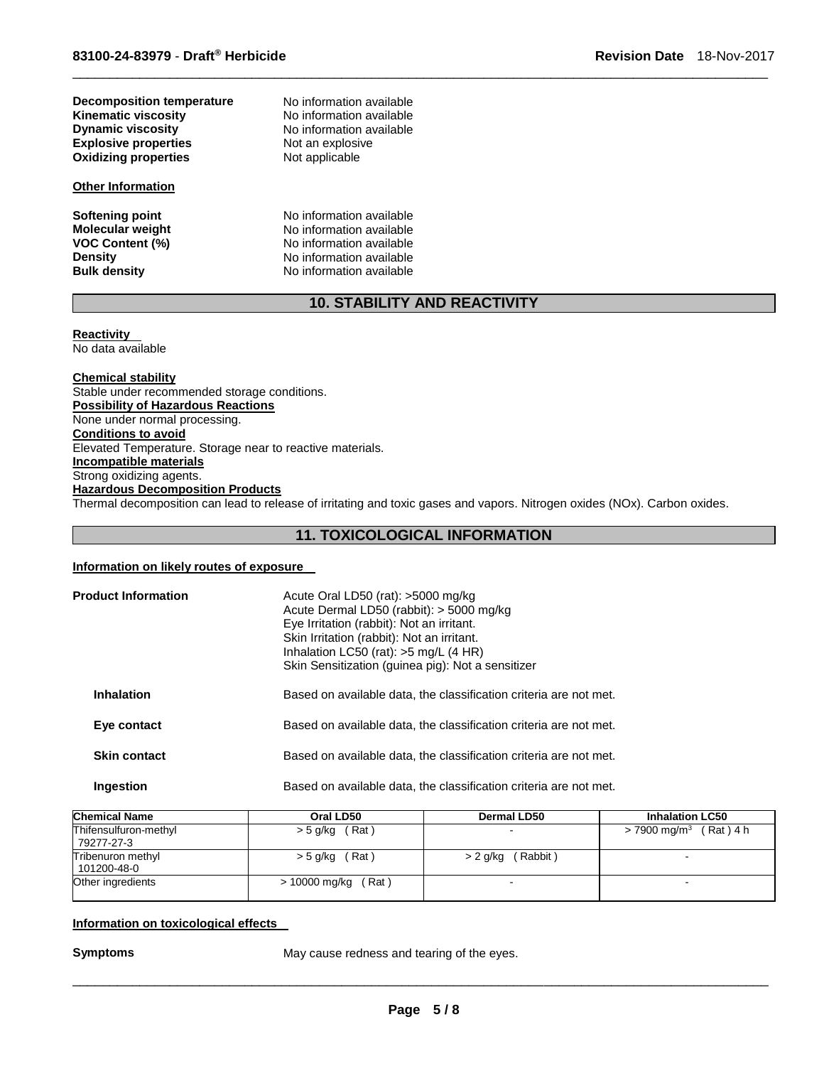**Decomposition temperature No information available**<br>**Kinematic viscosity No information available Kinematic viscosity**<br> **No information available**<br> **No information available Explosive properties Not an explosive District A** Not applicable **Oxidizing properties** 

### **Other Information**

No information available<br>Not an explosive

**Softening point 1996 CONTER INCORDITY And Softening point 1997 CONTER IN A NO information available Monderupoint CONTER INCORDITY NO information available Molecular weight <br>VOC Content (%) <br>No information available<br>No information available No information available Density Density No information available**<br> **Bulk density No information available No information available** 

# **10. STABILITY AND REACTIVITY**

\_\_\_\_\_\_\_\_\_\_\_\_\_\_\_\_\_\_\_\_\_\_\_\_\_\_\_\_\_\_\_\_\_\_\_\_\_\_\_\_\_\_\_\_\_\_\_\_\_\_\_\_\_\_\_\_\_\_\_\_\_\_\_\_\_\_\_\_\_\_\_\_\_\_\_\_\_\_\_\_\_\_\_\_\_\_\_\_\_\_\_\_\_

# **Reactivity**

No data available

### **Chemical stability** Stable under recommended storage conditions. **Possibility of Hazardous Reactions** None under normal processing. **Conditions to avoid** Elevated Temperature. Storage near to reactive materials. **Incompatible materials** Strong oxidizing agents. **Hazardous Decomposition Products** Thermal decomposition can lead to release of irritating and toxic gases and vapors. Nitrogen oxides (NOx). Carbon oxides.

# **11. TOXICOLOGICAL INFORMATION**

### **Information on likely routes of exposure**

| <b>Product Information</b> | Acute Oral LD50 (rat): >5000 mg/kg<br>Acute Dermal LD50 (rabbit): > 5000 mg/kg<br>Eye Irritation (rabbit): Not an irritant.<br>Skin Irritation (rabbit): Not an irritant.<br>Inhalation LC50 (rat): $>5$ mg/L (4 HR)<br>Skin Sensitization (guinea pig): Not a sensitizer |
|----------------------------|---------------------------------------------------------------------------------------------------------------------------------------------------------------------------------------------------------------------------------------------------------------------------|
| <b>Inhalation</b>          | Based on available data, the classification criteria are not met.                                                                                                                                                                                                         |
| Eye contact                | Based on available data, the classification criteria are not met.                                                                                                                                                                                                         |
| <b>Skin contact</b>        | Based on available data, the classification criteria are not met.                                                                                                                                                                                                         |
| <b>Ingestion</b>           | Based on available data, the classification criteria are not met.                                                                                                                                                                                                         |

| <b>Chemical Name</b>                | Oral LD50              | Dermal LD50          | <b>Inhalation LC50</b>            |
|-------------------------------------|------------------------|----------------------|-----------------------------------|
| Thifensulfuron-methyl<br>79277-27-3 | (Rat)<br>> 5 g/kg      | -                    | $> 7900 \text{ mg/m}^3$ (Rat) 4 h |
| Tribenuron methyl<br>101200-48-0    | (Rat)<br>> 5 g/kg      | (Rabbit)<br>> 2 g/kg |                                   |
| Other ingredients                   | (Rat)<br>> 10000 mg/kg |                      |                                   |

### **Information on toxicological effects**

**Symptoms May cause redness and tearing of the eyes.**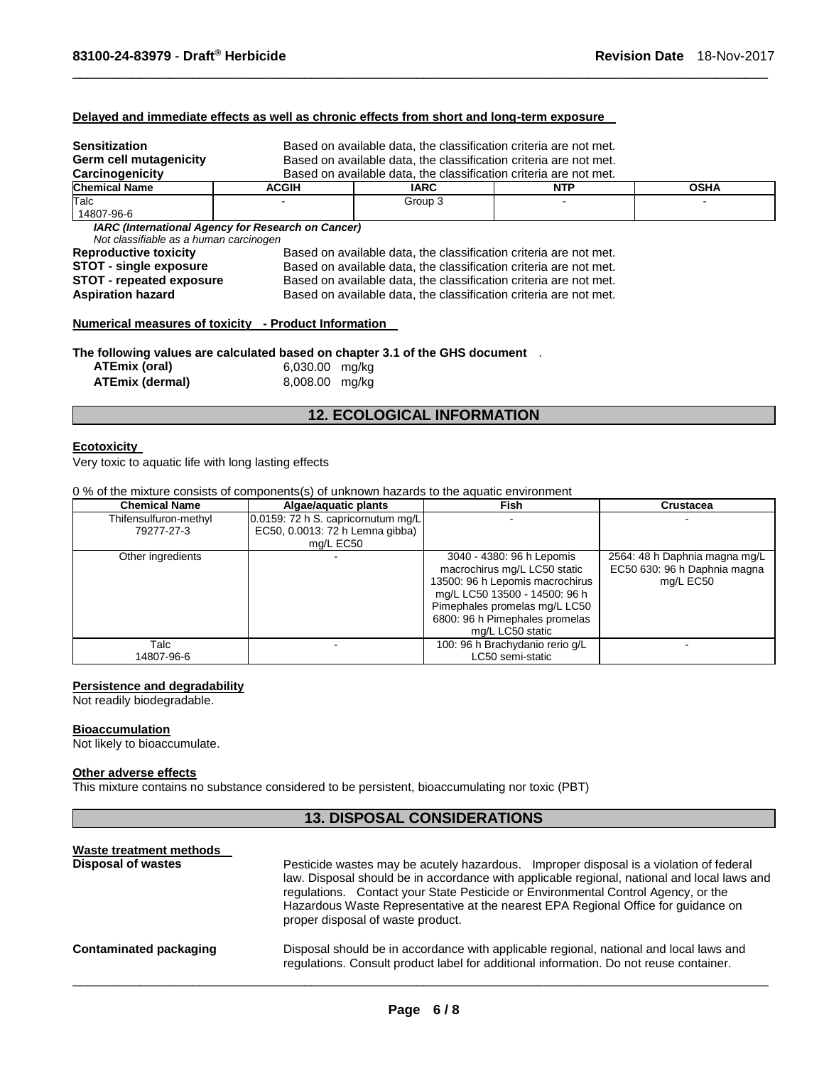#### **Delayed and immediate effects as well as chronic effects from short and long-term exposure**

| <b>Sensitization</b>                                                         |                                                                   | Based on available data, the classification criteria are not met. |  |  |  |  |  |
|------------------------------------------------------------------------------|-------------------------------------------------------------------|-------------------------------------------------------------------|--|--|--|--|--|
| Germ cell mutagenicity                                                       | Based on available data, the classification criteria are not met. |                                                                   |  |  |  |  |  |
| Carcinogenicity                                                              |                                                                   | Based on available data, the classification criteria are not met. |  |  |  |  |  |
| <b>Chemical Name</b>                                                         | <b>ACGIH</b>                                                      | <b>OSHA</b><br><b>IARC</b><br><b>NTP</b>                          |  |  |  |  |  |
| Talc                                                                         |                                                                   | Group 3                                                           |  |  |  |  |  |
| 14807-96-6                                                                   |                                                                   |                                                                   |  |  |  |  |  |
| Not classifiable as a human carcinogen                                       | <b>IARC (International Agency for Research on Cancer)</b>         |                                                                   |  |  |  |  |  |
| <b>Reproductive toxicity</b>                                                 | Based on available data, the classification criteria are not met. |                                                                   |  |  |  |  |  |
| <b>STOT - single exposure</b>                                                | Based on available data, the classification criteria are not met. |                                                                   |  |  |  |  |  |
| <b>STOT - repeated exposure</b>                                              | Based on available data, the classification criteria are not met. |                                                                   |  |  |  |  |  |
| <b>Aspiration hazard</b>                                                     | Based on available data, the classification criteria are not met. |                                                                   |  |  |  |  |  |
| Numerical measures of toxicity - Product Information                         |                                                                   |                                                                   |  |  |  |  |  |
| The following values are calculated based on chapter 3.1 of the GHS document |                                                                   |                                                                   |  |  |  |  |  |

\_\_\_\_\_\_\_\_\_\_\_\_\_\_\_\_\_\_\_\_\_\_\_\_\_\_\_\_\_\_\_\_\_\_\_\_\_\_\_\_\_\_\_\_\_\_\_\_\_\_\_\_\_\_\_\_\_\_\_\_\_\_\_\_\_\_\_\_\_\_\_\_\_\_\_\_\_\_\_\_\_\_\_\_\_\_\_\_\_\_\_\_\_

**The following values are calculated based on chapter 3.1 of the GHS document** .

| ATEmix (oral)   | 6,030.00 mg/kg |  |
|-----------------|----------------|--|
| ATEmix (dermal) | 8,008.00 mg/kg |  |

# **12. ECOLOGICAL INFORMATION**

### **Ecotoxicity**

Very toxic to aquatic life with long lasting effects

### 0 % of the mixture consists of components(s) of unknown hazards to the aquatic environment

| <b>Chemical Name</b>  | Algae/aquatic plants                  | Fish                            | <b>Crustacea</b>              |
|-----------------------|---------------------------------------|---------------------------------|-------------------------------|
| Thifensulfuron-methyl | $0.0159$ : 72 h S. capricornutum mg/L |                                 |                               |
| 79277-27-3            | EC50, 0.0013: 72 h Lemna gibba)       |                                 |                               |
|                       | mg/L EC50                             |                                 |                               |
| Other ingredients     |                                       | 3040 - 4380: 96 h Lepomis       | 2564: 48 h Daphnia magna mg/L |
|                       |                                       | macrochirus mg/L LC50 static    | EC50 630: 96 h Daphnia magna  |
|                       |                                       | 13500: 96 h Lepomis macrochirus | mg/L EC50                     |
|                       |                                       | mg/L LC50 13500 - 14500: 96 h   |                               |
|                       |                                       | Pimephales promelas mg/L LC50   |                               |
|                       |                                       | 6800: 96 h Pimephales promelas  |                               |
|                       |                                       | mg/L LC50 static                |                               |
| Talc                  |                                       | 100: 96 h Brachydanio rerio g/L |                               |
| 14807-96-6            |                                       | LC50 semi-static                |                               |

#### **Persistence and degradability**

Not readily biodegradable.

### **Bioaccumulation**

Not likely to bioaccumulate.

### **Other adverse effects**

This mixture contains no substance considered to be persistent, bioaccumulating nor toxic (PBT)

# **13. DISPOSAL CONSIDERATIONS**

| Waste treatment methods<br><b>Disposal of wastes</b> | Pesticide wastes may be acutely hazardous. Improper disposal is a violation of federal<br>law. Disposal should be in accordance with applicable regional, national and local laws and<br>regulations. Contact your State Pesticide or Environmental Control Agency, or the<br>Hazardous Waste Representative at the nearest EPA Regional Office for guidance on<br>proper disposal of waste product. |  |  |
|------------------------------------------------------|------------------------------------------------------------------------------------------------------------------------------------------------------------------------------------------------------------------------------------------------------------------------------------------------------------------------------------------------------------------------------------------------------|--|--|
| Contaminated packaging                               | Disposal should be in accordance with applicable regional, national and local laws and<br>requilations. Consult product label for additional information. Do not reuse container.                                                                                                                                                                                                                    |  |  |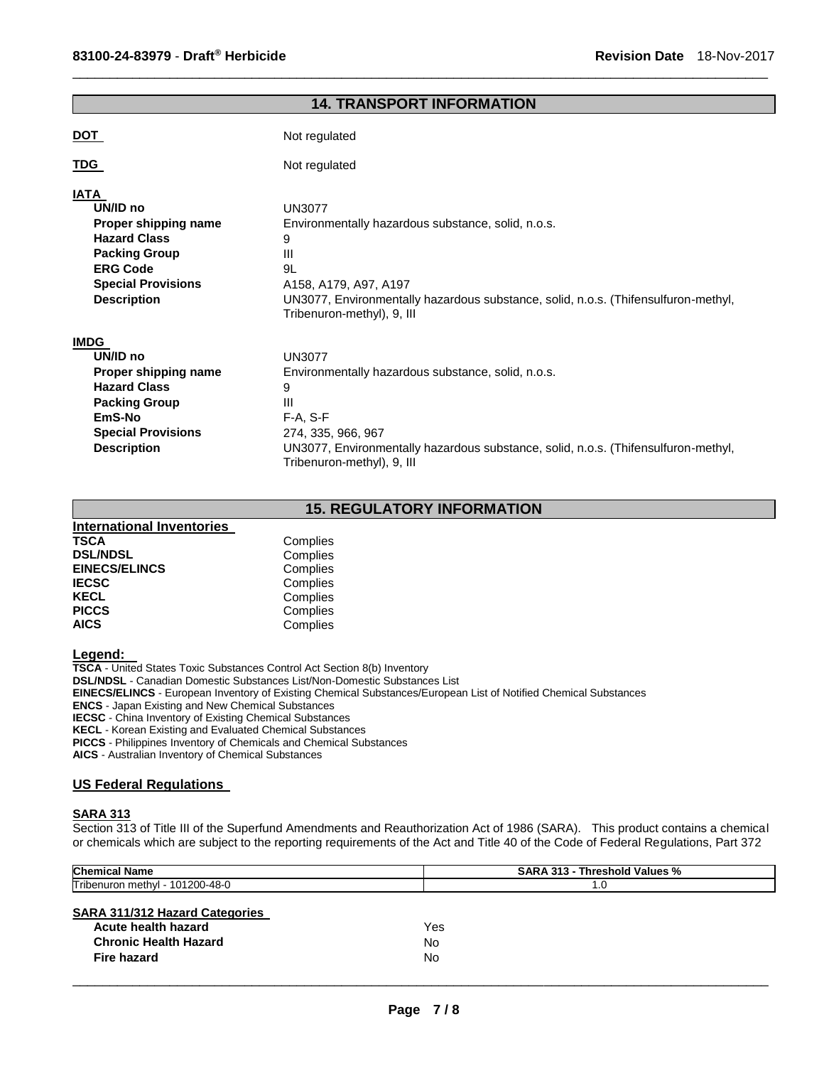| <b>14. TRANSPORT INFORMATION</b>                                                                                                                              |                                                                                                                                                                                                                                       |  |  |
|---------------------------------------------------------------------------------------------------------------------------------------------------------------|---------------------------------------------------------------------------------------------------------------------------------------------------------------------------------------------------------------------------------------|--|--|
| <u>DOT</u>                                                                                                                                                    | Not regulated                                                                                                                                                                                                                         |  |  |
| <u>TDG</u>                                                                                                                                                    | Not regulated                                                                                                                                                                                                                         |  |  |
| IATA<br>UN/ID no<br>Proper shipping name<br><b>Hazard Class</b><br><b>Packing Group</b><br><b>ERG Code</b><br><b>Special Provisions</b><br><b>Description</b> | <b>UN3077</b><br>Environmentally hazardous substance, solid, n.o.s.<br>9<br>III<br>9L<br>A158, A179, A97, A197<br>UN3077, Environmentally hazardous substance, solid, n.o.s. (Thifensulfuron-methyl,<br>Tribenuron-methyl), 9, III    |  |  |
| <b>IMDG</b><br>UN/ID no<br>Proper shipping name<br><b>Hazard Class</b><br><b>Packing Group</b><br>EmS-No<br><b>Special Provisions</b><br><b>Description</b>   | <b>UN3077</b><br>Environmentally hazardous substance, solid, n.o.s.<br>9<br>Ш<br>$F-A, S-F$<br>274, 335, 966, 967<br>UN3077, Environmentally hazardous substance, solid, n.o.s. (Thifensulfuron-methyl,<br>Tribenuron-methyl), 9, III |  |  |

\_\_\_\_\_\_\_\_\_\_\_\_\_\_\_\_\_\_\_\_\_\_\_\_\_\_\_\_\_\_\_\_\_\_\_\_\_\_\_\_\_\_\_\_\_\_\_\_\_\_\_\_\_\_\_\_\_\_\_\_\_\_\_\_\_\_\_\_\_\_\_\_\_\_\_\_\_\_\_\_\_\_\_\_\_\_\_\_\_\_\_\_\_

# **15. REGULATORY INFORMATION**

| International Inventories |          |
|---------------------------|----------|
| <b>TSCA</b>               | Complies |
| <b>DSL/NDSL</b>           | Complies |
| <b>EINECS/ELINCS</b>      | Complies |
| <b>IECSC</b>              | Complies |
| <b>KECL</b>               | Complies |
| <b>PICCS</b>              | Complies |
| <b>AICS</b>               | Complies |
|                           |          |

**Legend:** 

**TSCA** - United States Toxic Substances Control Act Section 8(b) Inventory **DSL/NDSL** - Canadian Domestic Substances List/Non-Domestic Substances List **EINECS/ELINCS** - European Inventory of Existing Chemical Substances/European List of Notified Chemical Substances **ENCS** - Japan Existing and New Chemical Substances **IECSC** - China Inventory of Existing Chemical Substances **KECL** - Korean Existing and Evaluated Chemical Substances **PICCS** - Philippines Inventory of Chemicals and Chemical Substances

**AICS** - Australian Inventory of Chemical Substances

## **US Federal Regulations**

### **SARA 313**

Section 313 of Title III of the Superfund Amendments and Reauthorization Act of 1986 (SARA). This product contains a chemical or chemicals which are subject to the reporting requirements of the Act and Title 40 of the Code of Federal Regulations, Part 372

| <b>Chemical Name</b>                                                                                        | <b>SARA 313 - Threshold Values %</b> |
|-------------------------------------------------------------------------------------------------------------|--------------------------------------|
| Tribenuron methyl - 101200-48-0                                                                             | 1.0                                  |
| <b>SARA 311/312 Hazard Categories</b><br>Acute health hazard<br><b>Chronic Health Hazard</b><br>Fire hazard | Yes<br>No<br>No                      |